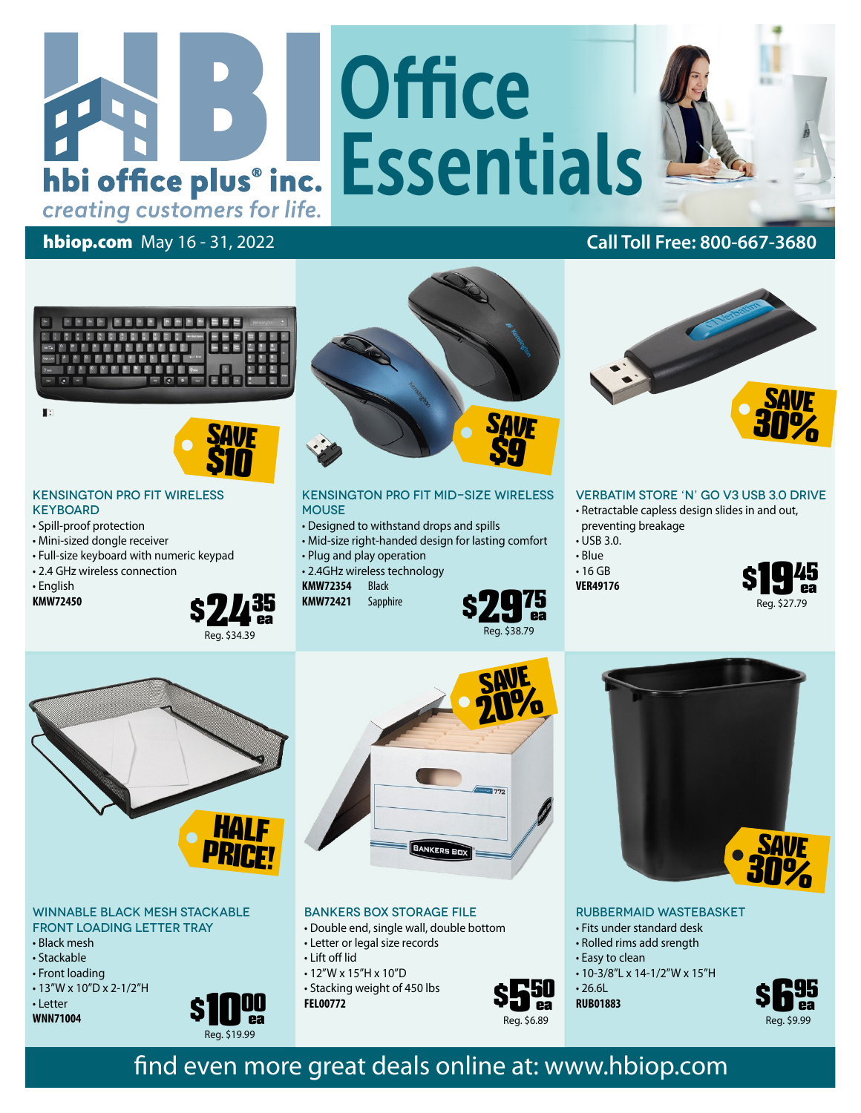# **Office** And Le Essentials

#### hbiop.com May 16 - 31, 2022 **Call Toll Free: 800-667-3680**

creating customers for life.



I.

# SAVE *<u>\$10</u>*

#### Kensington Pro Fit Wireless **KEYBOARD**

- Spill-proof protection
- Mini-sized dongle receiver
- Full-size keyboard with numeric keypad
- 2.4 GHz wireless connection
- English
- **KMW72450**





Kensington Pro Fit Mid-Size Wireless **MOUSE** 

- Designed to withstand drops and spills
- Mid-size right-handed design for lasting comfort
- Plug and play operation
- 2.4GHz wireless technology
- **KMW72354** Black



SAVE 20%



#### Verbatim Store 'n' Go V3 USB 3.0 Drive

- Retractable capless design slides in and out, preventing breakage
- USB 3.0.
- Blue
- 16 GB **VER49176**
- 





#### Winnable Black Mesh Stackable Front Loading Letter Tray

- Black mesh
- Stackable
- Front loading
- 13"W x 10"D x 2-1/2"H
- Letter
- **WNN71004**



#### Bankers Box Storage File

- Double end, single wall, double bottom
- Letter or legal size records
- Lift off lid
- 12"W x 15"H x 10"D • Stacking weight of 450 lbs **FEL00772**



Rubbermaid Wastebasket

- Fits under standard desk
- Rolled rims add srength
- Easy to clean
- 10-3/8"L x 14-1/2"W x 15"H

 $• 26.6L$ **RUB01883**



SAVE 30%

## find even more great deals online at: www.hbiop.com